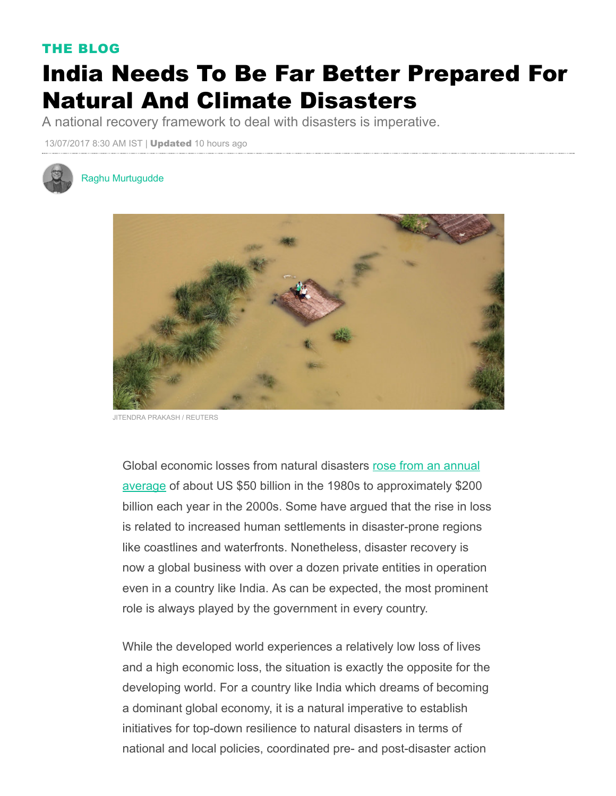## THE BLOG

## India Needs To Be Far Better Prepared For Natural And Climate Disasters

A national recovery framework to deal with disasters is imperative.

13/07/2017 8:30 AM IST | Updated 10 hours ago



## Raghu [Murtugudde](http://www.huffingtonpost.in/author/raghu-murtugudde/)



ENDRA PRAKASH / REUTERS

Global economic losses from natural disasters rose from an annual average of about US \$50 billion in the 1980s to [approximately](http://www.worldbank.org/en/news/press-release/2013/11/18/damages-extreme-weather-mount-climate-warms) \$200 billion each year in the 2000s. Some have argued that the rise in loss is related to increased human settlements in disaster-prone regions like coastlines and waterfronts. Nonetheless, disaster recovery is now a global business with over a dozen private entities in operation even in a country like India. As can be expected, the most prominent role is always played by the government in every country.

While the developed world experiences a relatively low loss of lives and a high economic loss, the situation is exactly the opposite for the developing world. For a country like India which dreams of becoming a dominant global economy, it is a natural imperative to establish initiatives for top-down resilience to natural disasters in terms of national and local policies, coordinated pre- and post-disaster action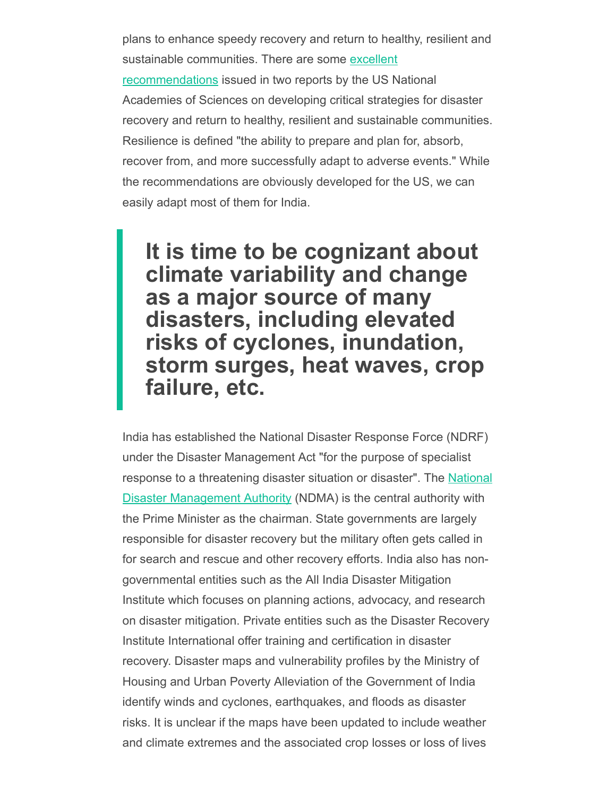plans to enhance speedy recovery and return to healthy, resilient and sustainable communities. There are some excellent [recommendations](http://sites.nationalacademies.org/PGA/ResilientAmerica/PGA_08640) issued in two reports by the US National Academies of Sciences on developing critical strategies for disaster recovery and return to healthy, resilient and sustainable communities. Resilience is defined "the ability to prepare and plan for, absorb, recover from, and more successfully adapt to adverse events." While the recommendations are obviously developed for the US, we can easily adapt most of them for India.

It is time to be cognizant about climate variability and change as a major source of many disasters, including elevated risks of cyclones, inundation, storm surges, heat waves, crop failure, etc.

India has established the National Disaster Response Force (NDRF) under the Disaster Management Act "for the purpose of specialist response to a threatening disaster situation or disaster". The National Disaster [Management](https://en.m.wikipedia.org/wiki/National_Disaster_Management_Authority_(India)) Authority (NDMA) is the central authority with the Prime Minister as the chairman. State governments are largely responsible for disaster recovery but the military often gets called in for search and rescue and other recovery efforts. India also has nongovernmental entities such as the All India Disaster Mitigation Institute which focuses on planning actions, advocacy, and research on disaster mitigation. Private entities such as the Disaster Recovery Institute International offer training and certification in disaster recovery. Disaster maps and vulnerability profiles by the Ministry of Housing and Urban Poverty Alleviation of the Government of India identify winds and cyclones, earthquakes, and floods as disaster risks. It is unclear if the maps have been updated to include weather and climate extremes and the associated crop losses or loss of lives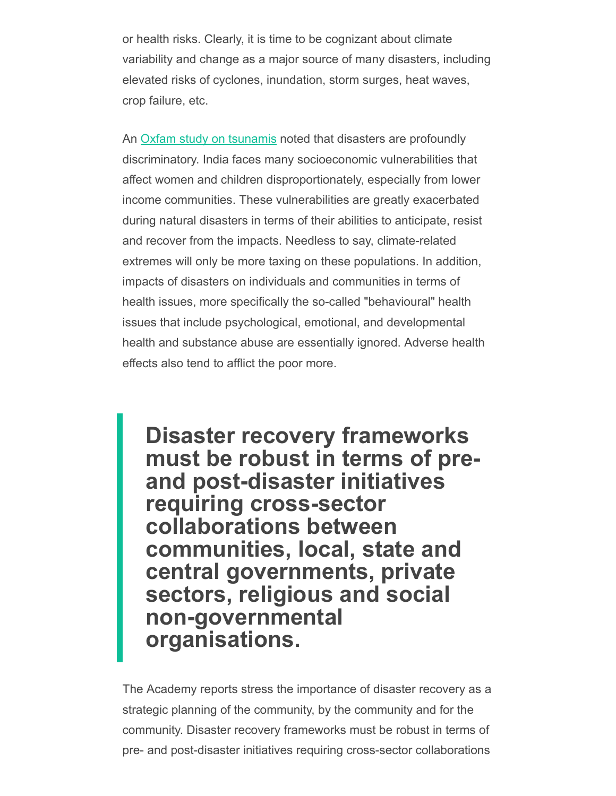or health risks. Clearly, it is time to be cognizant about climate variability and change as a major source of many disasters, including elevated risks of cyclones, inundation, storm surges, heat waves, crop failure, etc.

An **Oxfam study on [tsunamis](https://www.oxfam.org/sites/www.oxfam.org/files/file_attachments/oxfam-international-tsunami-evaluation-summary_3.pdf)** noted that disasters are profoundly discriminatory. India faces many socioeconomic vulnerabilities that affect women and children disproportionately, especially from lower income communities. These vulnerabilities are greatly exacerbated during natural disasters in terms of their abilities to anticipate, resist and recover from the impacts. Needless to say, climate-related extremes will only be more taxing on these populations. In addition, impacts of disasters on individuals and communities in terms of health issues, more specifically the so-called "behavioural" health issues that include psychological, emotional, and developmental health and substance abuse are essentially ignored. Adverse health effects also tend to afflict the poor more.

Disaster recovery frameworks must be robust in terms of preand post-disaster initiatives requiring cross-sector collaborations between communities, local, state and central governments, private sectors, religious and social non-governmental organisations.

The Academy reports stress the importance of disaster recovery as a strategic planning of the community, by the community and for the community. Disaster recovery frameworks must be robust in terms of pre- and post-disaster initiatives requiring cross-sector collaborations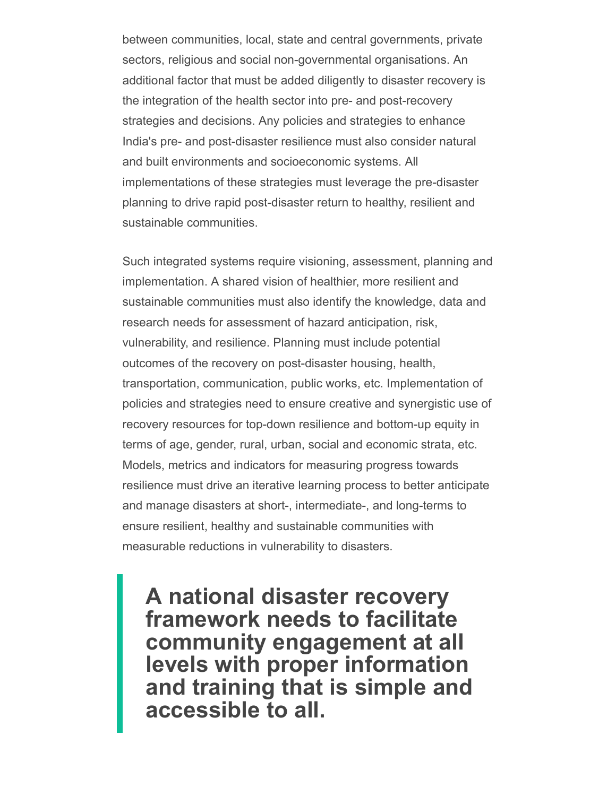between communities, local, state and central governments, private sectors, religious and social non-governmental organisations. An additional factor that must be added diligently to disaster recovery is the integration of the health sector into pre- and post-recovery strategies and decisions. Any policies and strategies to enhance India's pre- and post-disaster resilience must also consider natural and built environments and socioeconomic systems. All implementations of these strategies must leverage the pre-disaster planning to drive rapid post-disaster return to healthy, resilient and sustainable communities.

Such integrated systems require visioning, assessment, planning and implementation. A shared vision of healthier, more resilient and sustainable communities must also identify the knowledge, data and research needs for assessment of hazard anticipation, risk, vulnerability, and resilience. Planning must include potential outcomes of the recovery on post-disaster housing, health, transportation, communication, public works, etc. Implementation of policies and strategies need to ensure creative and synergistic use of recovery resources for top-down resilience and bottom-up equity in terms of age, gender, rural, urban, social and economic strata, etc. Models, metrics and indicators for measuring progress towards resilience must drive an iterative learning process to better anticipate and manage disasters at short-, intermediate-, and long-terms to ensure resilient, healthy and sustainable communities with measurable reductions in vulnerability to disasters.

A national disaster recovery framework needs to facilitate community engagement at all levels with proper information and training that is simple and accessible to all.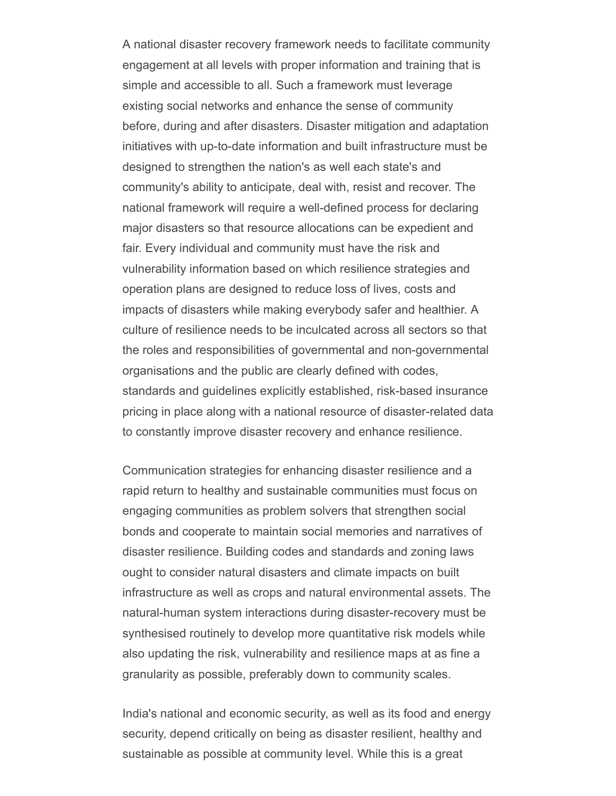A national disaster recovery framework needs to facilitate community engagement at all levels with proper information and training that is simple and accessible to all. Such a framework must leverage existing social networks and enhance the sense of community before, during and after disasters. Disaster mitigation and adaptation initiatives with up-to-date information and built infrastructure must be designed to strengthen the nation's as well each state's and community's ability to anticipate, deal with, resist and recover. The national framework will require a well-defined process for declaring major disasters so that resource allocations can be expedient and fair. Every individual and community must have the risk and vulnerability information based on which resilience strategies and operation plans are designed to reduce loss of lives, costs and impacts of disasters while making everybody safer and healthier. A culture of resilience needs to be inculcated across all sectors so that the roles and responsibilities of governmental and non-governmental organisations and the public are clearly defined with codes, standards and guidelines explicitly established, risk-based insurance pricing in place along with a national resource of disaster-related data to constantly improve disaster recovery and enhance resilience.

Communication strategies for enhancing disaster resilience and a rapid return to healthy and sustainable communities must focus on engaging communities as problem solvers that strengthen social bonds and cooperate to maintain social memories and narratives of disaster resilience. Building codes and standards and zoning laws ought to consider natural disasters and climate impacts on built infrastructure as well as crops and natural environmental assets. The natural-human system interactions during disaster-recovery must be synthesised routinely to develop more quantitative risk models while also updating the risk, vulnerability and resilience maps at as fine a granularity as possible, preferably down to community scales.

India's national and economic security, as well as its food and energy security, depend critically on being as disaster resilient, healthy and sustainable as possible at community level. While this is a great